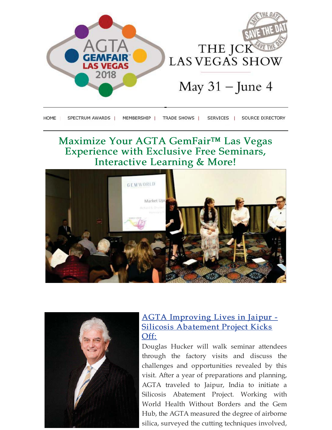

| HOME | SPECTRUM AWARDS I | <b>MEMBERSHIP</b> | <b>TRADE SHOWS</b> | <b>SERVICES</b> | SOURCE DIRECTORY |
|------|-------------------|-------------------|--------------------|-----------------|------------------|
|      |                   |                   |                    |                 |                  |

### Maximize Your AGTA GemFair™ Las Vegas **Experience with Exclusive Free Seminars, Interactive Learning & More!**





#### **AGTA Improving Lives in Jaipur -Silicosis Abatement Project Kicks** Off:

Douglas Hucker will walk seminar attendees through the factory visits and discuss the challenges and opportunities revealed by this visit. After a year of preparations and planning, AGTA traveled to Jaipur, India to initiate a Silicosis Abatement Project. Working with World Health Without Borders and the Gem Hub, the AGTA measured the degree of airborne silica, surveyed the cutting techniques involved,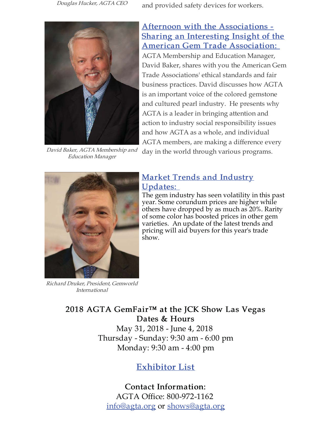Douglas Hucker, AGTA CEO and provided safety devices for workers.



Afternoon with the Associations -Sharing an Interesting Insight of the **American Gem Trade Association:** AGTA Membership and Education Manager, David Baker, shares with you the American Gem Trade Associations' ethical standards and fair business practices. David discusses how AGTA is an important voice of the colored gemstone and cultured pearl industry. He presents why AGTA is a leader in bringing attention and action to industry social responsibility issues and how AGTA as a whole, and individual AGTA members, are making a difference every

David Baker, AGTA Membership and day in the world through various programs. **Education Manager** 



Richard Druker, President, Gemworld *International* 

#### **Market Trends and Industry** <u>Updates:</u>

The gem industry has seen volatility in this past year. Some corundum prices are higher while others have dropped by as much as 20%. Rarity of some color has boosted prices in other gem varieties. An update of the latest trends and pricing will aid buyers for this year's trade show.

2018 AGTA GemFair™ at the JCK Show Las Vegas Dates & Hours

May 31, 2018 - June 4, 2018 Thursday - Sunday: 9:30 am - 6:00 pm Monday: 9:30 am - 4:00 pm

### **Exhibitor List**

**Contact Information:** AGTA Office: 800-972-1162 info@agta.org or shows@agta.org